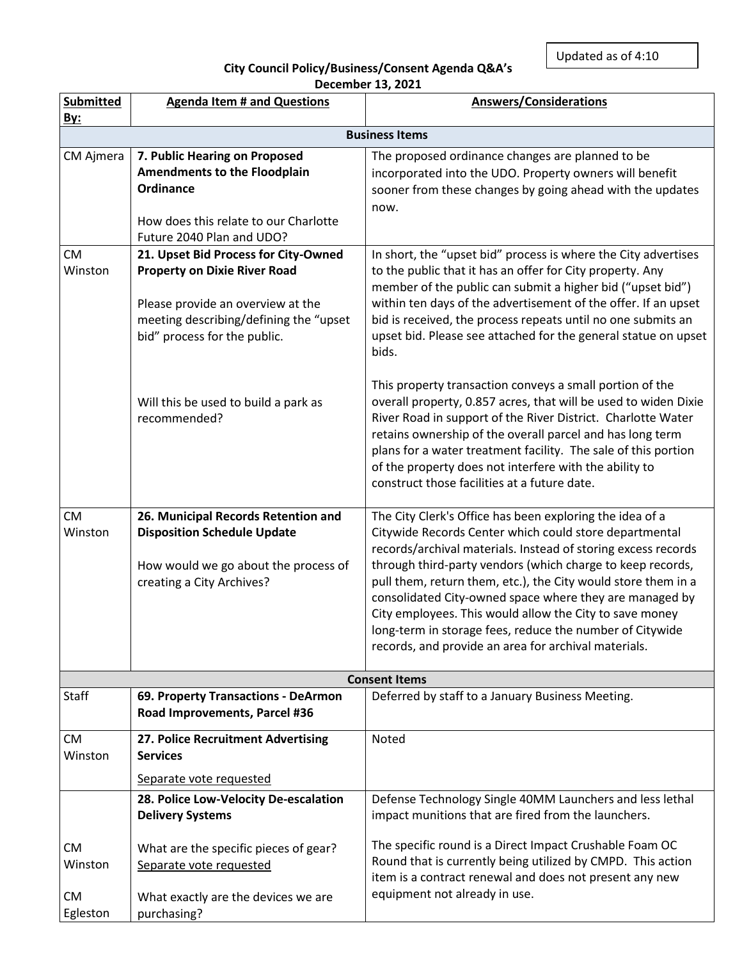Updated as of 4:10

000

## **City Council Policy/Business/Consent Agenda Q&A's December 13, 2021**

| <b>Submitted</b>     | <b>Agenda Item # and Questions</b>                                                                          | <b>Answers/Considerations</b>                                                                                                                                                                                                                                                                                                                                                                                                        |  |
|----------------------|-------------------------------------------------------------------------------------------------------------|--------------------------------------------------------------------------------------------------------------------------------------------------------------------------------------------------------------------------------------------------------------------------------------------------------------------------------------------------------------------------------------------------------------------------------------|--|
| <b>By:</b>           |                                                                                                             |                                                                                                                                                                                                                                                                                                                                                                                                                                      |  |
|                      |                                                                                                             | <b>Business Items</b>                                                                                                                                                                                                                                                                                                                                                                                                                |  |
| CM Ajmera            | 7. Public Hearing on Proposed                                                                               | The proposed ordinance changes are planned to be                                                                                                                                                                                                                                                                                                                                                                                     |  |
|                      | <b>Amendments to the Floodplain</b>                                                                         | incorporated into the UDO. Property owners will benefit                                                                                                                                                                                                                                                                                                                                                                              |  |
|                      | <b>Ordinance</b>                                                                                            | sooner from these changes by going ahead with the updates                                                                                                                                                                                                                                                                                                                                                                            |  |
|                      |                                                                                                             | now.                                                                                                                                                                                                                                                                                                                                                                                                                                 |  |
|                      | How does this relate to our Charlotte                                                                       |                                                                                                                                                                                                                                                                                                                                                                                                                                      |  |
|                      | Future 2040 Plan and UDO?                                                                                   |                                                                                                                                                                                                                                                                                                                                                                                                                                      |  |
| <b>CM</b><br>Winston | 21. Upset Bid Process for City-Owned<br><b>Property on Dixie River Road</b>                                 | In short, the "upset bid" process is where the City advertises<br>to the public that it has an offer for City property. Any<br>member of the public can submit a higher bid ("upset bid")                                                                                                                                                                                                                                            |  |
|                      | Please provide an overview at the<br>meeting describing/defining the "upset<br>bid" process for the public. | within ten days of the advertisement of the offer. If an upset<br>bid is received, the process repeats until no one submits an<br>upset bid. Please see attached for the general statue on upset<br>bids.                                                                                                                                                                                                                            |  |
|                      | Will this be used to build a park as<br>recommended?                                                        | This property transaction conveys a small portion of the<br>overall property, 0.857 acres, that will be used to widen Dixie<br>River Road in support of the River District. Charlotte Water<br>retains ownership of the overall parcel and has long term<br>plans for a water treatment facility. The sale of this portion<br>of the property does not interfere with the ability to<br>construct those facilities at a future date. |  |
| <b>CM</b>            | 26. Municipal Records Retention and                                                                         | The City Clerk's Office has been exploring the idea of a                                                                                                                                                                                                                                                                                                                                                                             |  |
| Winston              | <b>Disposition Schedule Update</b>                                                                          | Citywide Records Center which could store departmental                                                                                                                                                                                                                                                                                                                                                                               |  |
|                      |                                                                                                             | records/archival materials. Instead of storing excess records                                                                                                                                                                                                                                                                                                                                                                        |  |
|                      | How would we go about the process of                                                                        | through third-party vendors (which charge to keep records,                                                                                                                                                                                                                                                                                                                                                                           |  |
|                      | creating a City Archives?                                                                                   | pull them, return them, etc.), the City would store them in a                                                                                                                                                                                                                                                                                                                                                                        |  |
|                      |                                                                                                             | consolidated City-owned space where they are managed by                                                                                                                                                                                                                                                                                                                                                                              |  |
|                      |                                                                                                             | City employees. This would allow the City to save money<br>long-term in storage fees, reduce the number of Citywide                                                                                                                                                                                                                                                                                                                  |  |
|                      |                                                                                                             | records, and provide an area for archival materials.                                                                                                                                                                                                                                                                                                                                                                                 |  |
|                      |                                                                                                             |                                                                                                                                                                                                                                                                                                                                                                                                                                      |  |
| <b>Consent Items</b> |                                                                                                             |                                                                                                                                                                                                                                                                                                                                                                                                                                      |  |
| Staff                | 69. Property Transactions - DeArmon                                                                         | Deferred by staff to a January Business Meeting.                                                                                                                                                                                                                                                                                                                                                                                     |  |
|                      | Road Improvements, Parcel #36                                                                               |                                                                                                                                                                                                                                                                                                                                                                                                                                      |  |
| CM<br>Winston        | 27. Police Recruitment Advertising<br><b>Services</b>                                                       | Noted                                                                                                                                                                                                                                                                                                                                                                                                                                |  |
|                      | Separate vote requested                                                                                     |                                                                                                                                                                                                                                                                                                                                                                                                                                      |  |
|                      | 28. Police Low-Velocity De-escalation                                                                       | Defense Technology Single 40MM Launchers and less lethal                                                                                                                                                                                                                                                                                                                                                                             |  |
|                      | <b>Delivery Systems</b>                                                                                     | impact munitions that are fired from the launchers.                                                                                                                                                                                                                                                                                                                                                                                  |  |
| <b>CM</b>            | What are the specific pieces of gear?                                                                       | The specific round is a Direct Impact Crushable Foam OC                                                                                                                                                                                                                                                                                                                                                                              |  |
| Winston              | Separate vote requested                                                                                     | Round that is currently being utilized by CMPD. This action<br>item is a contract renewal and does not present any new                                                                                                                                                                                                                                                                                                               |  |
| <b>CM</b>            | What exactly are the devices we are                                                                         | equipment not already in use.                                                                                                                                                                                                                                                                                                                                                                                                        |  |
| Egleston             | purchasing?                                                                                                 |                                                                                                                                                                                                                                                                                                                                                                                                                                      |  |
|                      |                                                                                                             |                                                                                                                                                                                                                                                                                                                                                                                                                                      |  |